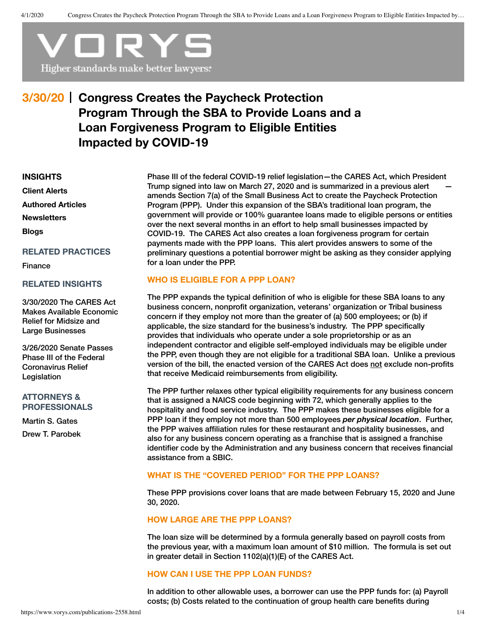

# **Congress Creates the Paycheck Protection 3/30/20 Program Through the SBA to Provide Loans and a Loan Forgiveness Program to Eligible Entities Impacted by COVID-19**

#### **[INSIGHTS](https://www.vorys.com/publications.html)**

**Client [Alerts](https://www.vorys.com/publications-alerts.html) [Authored](https://www.vorys.com/publications-authored.html) Articles [Newsletters](https://www.vorys.com/publications-newsletters.html) [Blogs](https://www.vorys.com/publications-blogs.html)**

### **RELATED PRACTICES**

[Finance](https://www.vorys.com/services-377.html)

#### **RELATED INSIGHTS**

3/30/2020 The CARES Act Makes Available Economic Relief for Midsize and Large [Businesses](https://www.vorys.com/publications-2559.html)

3/26/2020 Senate Passes Phase III of the Federal [Coronavirus](https://www.vorys.com/publications-2551.html) Relief **Legislation** 

# **ATTORNEYS & PROFESSIONALS**

[Martin](https://www.vorys.com/people-gates.html) S. Gates Drew T. [Parobek](https://www.vorys.com/people-parobek.html) Phase III of the federal COVID-19 relief legislation—the CARES Act, which President Trump signed into law on March 27, 2020 and is summarized in a [previous](https://www.vorys.com/publications-2551.html) alert amends Section 7(a) of the Small Business Act to create the Paycheck Protection Program (PPP). Under this expansion of the SBA's traditional loan program, the government will provide or 100% guarantee loans made to eligible persons or entities over the next several months in an effort to help small businesses impacted by COVID-19. The CARES Act also creates a loan forgiveness program for certain payments made with the PPP loans. This alert provides answers to some of the preliminary questions a potential borrower might be asking as they consider applying for a loan under the PPP.

# **WHO IS ELIGIBLE FOR A PPP LOAN?**

The PPP expands the typical definition of who is eligible for these SBA loans to any business concern, nonprofit organization, veterans' organization or Tribal business concern if they employ not more than the greater of (a) 500 employees; or (b) if applicable, the size standard for the business's industry. The PPP specifically provides that individuals who operate under a sole proprietorship or as an independent contractor and eligible self-employed individuals may be eligible under the PPP, even though they are not eligible for a traditional SBA loan. Unlike a previous version of the bill, the enacted version of the CARES Act does not exclude non-profits that receive Medicaid reimbursements from eligibility.

The PPP further relaxes other typical eligibility requirements for any business concern that is assigned a NAICS code beginning with 72, which generally applies to the hospitality and food service industry. The PPP makes these businesses eligible for a PPP loan if they employ not more than 500 employees *per physical location*. Further, the PPP waives affiliation rules for these restaurant and hospitality businesses, and also for any business concern operating as a franchise that is assigned a franchise identifier code by the Administration and any business concern that receives financial assistance from a SBIC.

# **WHAT IS THE "COVERED PERIOD" FOR THE PPP LOANS?**

These PPP provisions cover loans that are made between February 15, 2020 and June 30, 2020.

### **HOW LARGE ARE THE PPP LOANS?**

The loan size will be determined by a formula generally based on payroll costs from the previous year, with a maximum loan amount of \$10 million. The formula is set out in greater detail in Section 1102(a)(1)(E) of the CARES Act.

# **HOW CAN I USE THE PPP LOAN FUNDS?**

In addition to other allowable uses, a borrower can use the PPP funds for: (a) Payroll costs; (b) Costs related to the continuation of group health care benefits during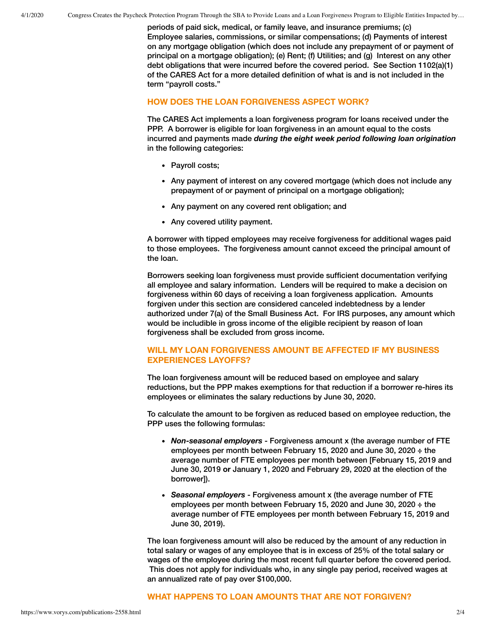periods of paid sick, medical, or family leave, and insurance premiums; (c) Employee salaries, commissions, or similar compensations; (d) Payments of interest on any mortgage obligation (which does not include any prepayment of or payment of principal on a mortgage obligation); (e) Rent; (f) Utilities; and (g) Interest on any other debt obligations that were incurred before the covered period. See Section 1102(a)(1) of the CARES Act for a more detailed definition of what is and is not included in the term "payroll costs."

### **HOW DOES THE LOAN FORGIVENESS ASPECT WORK?**

The CARES Act implements a loan forgiveness program for loans received under the PPP. A borrower is eligible for loan forgiveness in an amount equal to the costs incurred and payments made *during the eight week period following loan origination* in the following categories:

- Payroll costs;
- Any payment of interest on any covered mortgage (which does not include any prepayment of or payment of principal on a mortgage obligation);
- Any payment on any covered rent obligation; and
- Any covered utility payment.

A borrower with tipped employees may receive forgiveness for additional wages paid to those employees. The forgiveness amount cannot exceed the principal amount of the loan.

Borrowers seeking loan forgiveness must provide sufficient documentation verifying all employee and salary information. Lenders will be required to make a decision on forgiveness within 60 days of receiving a loan forgiveness application. Amounts forgiven under this section are considered canceled indebtedness by a lender authorized under 7(a) of the Small Business Act. For IRS purposes, any amount which would be includible in gross income of the eligible recipient by reason of loan forgiveness shall be excluded from gross income.

# **WILL MY LOAN FORGIVENESS AMOUNT BE AFFECTED IF MY BUSINESS EXPERIENCES LAYOFFS?**

The loan forgiveness amount will be reduced based on employee and salary reductions, but the PPP makes exemptions for that reduction if a borrower re-hires its employees or eliminates the salary reductions by June 30, 2020.

To calculate the amount to be forgiven as reduced based on employee reduction, the PPP uses the following formulas:

- *Non-seasonal employers* Forgiveness amount x (the average number of FTE employees per month between February 15, 2020 and June 30, 2020 **÷** the average number of FTE employees per month between [February 15, 2019 and June 30, 2019 **or** January 1, 2020 and February 29, 2020 at the election of the borrower]).
- *Seasonal employers* Forgiveness amount x (the average number of FTE employees per month between February 15, 2020 and June 30, 2020 **÷** the average number of FTE employees per month between February 15, 2019 and June 30, 2019).

The loan forgiveness amount will also be reduced by the amount of any reduction in total salary or wages of any employee that is in excess of 25% of the total salary or wages of the employee during the most recent full quarter before the covered period. This does not apply for individuals who, in any single pay period, received wages at an annualized rate of pay over \$100,000.

#### **WHAT HAPPENS TO LOAN AMOUNTS THAT ARE NOT FORGIVEN?**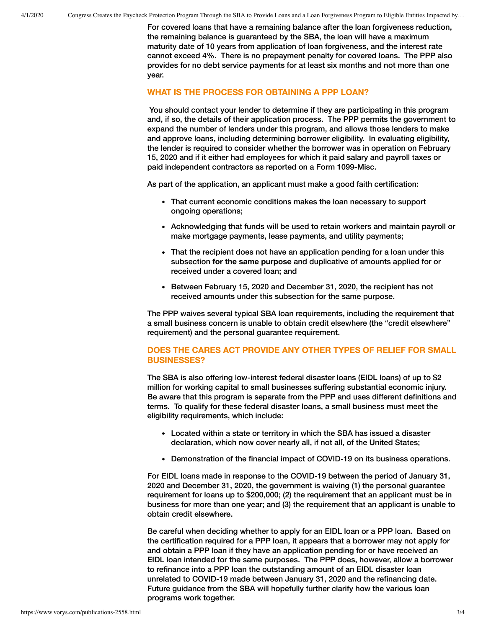For covered loans that have a remaining balance after the loan forgiveness reduction, the remaining balance is guaranteed by the SBA, the loan will have a maximum maturity date of 10 years from application of loan forgiveness, and the interest rate cannot exceed 4%. There is no prepayment penalty for covered loans. The PPP also provides for no debt service payments for at least six months and not more than one year.

#### **WHAT IS THE PROCESS FOR OBTAINING A PPP LOAN?**

You should contact your lender to determine if they are participating in this program and, if so, the details of their application process. The PPP permits the government to expand the number of lenders under this program, and allows those lenders to make and approve loans, including determining borrower eligibility. In evaluating eligibility, the lender is required to consider whether the borrower was in operation on February 15, 2020 and if it either had employees for which it paid salary and payroll taxes or paid independent contractors as reported on a Form 1099-Misc.

As part of the application, an applicant must make a good faith certification:

- That current economic conditions makes the loan necessary to support ongoing operations;
- Acknowledging that funds will be used to retain workers and maintain payroll or make mortgage payments, lease payments, and utility payments;
- That the recipient does not have an application pending for a loan under this subsection **for the same purpose** and duplicative of amounts applied for or received under a covered loan; and
- Between February 15, 2020 and December 31, 2020, the recipient has not received amounts under this subsection for the same purpose.

The PPP waives several typical SBA loan requirements, including the requirement that a small business concern is unable to obtain credit elsewhere (the "credit elsewhere" requirement) and the personal guarantee requirement.

# **DOES THE CARES ACT PROVIDE ANY OTHER TYPES OF RELIEF FOR SMALL BUSINESSES?**

The SBA is also offering low-interest federal disaster loans (EIDL loans) of up to \$2 million for working capital to small businesses suffering substantial economic injury. Be aware that this program is separate from the PPP and uses different definitions and terms. To qualify for these federal disaster loans, a small business must meet the eligibility requirements, which include:

- Located within a state or territory in which the SBA has issued a disaster declaration, which now cover nearly all, if not all, of the United States;
- Demonstration of the financial impact of COVID-19 on its business operations.

For EIDL loans made in response to the COVID-19 between the period of January 31, 2020 and December 31, 2020, the government is waiving (1) the personal guarantee requirement for loans up to \$200,000; (2) the requirement that an applicant must be in business for more than one year; and (3) the requirement that an applicant is unable to obtain credit elsewhere.

Be careful when deciding whether to apply for an EIDL loan or a PPP loan. Based on the certification required for a PPP loan, it appears that a borrower may not apply for and obtain a PPP loan if they have an application pending for or have received an EIDL loan intended for the same purposes. The PPP does, however, allow a borrower to refinance into a PPP loan the outstanding amount of an EIDL disaster loan unrelated to COVID-19 made between January 31, 2020 and the refinancing date. Future guidance from the SBA will hopefully further clarify how the various loan programs work together.